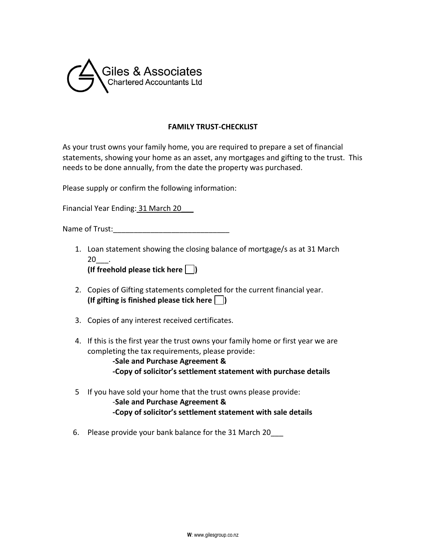

## **FAMILY TRUST-CHECKLIST**

As your trust owns your family home, you are required to prepare a set of financial statements, showing your home as an asset, any mortgages and gifting to the trust. This needs to be done annually, from the date the property was purchased.

Please supply or confirm the following information:

Financial Year Ending: 31 March 20\_\_\_

Name of Trust:

1. Loan statement showing the closing balance of mortgage/s as at 31 March 20\_\_\_.

- 2. Copies of Gifting statements completed for the current financial year. **(If gifting is finished please tick here )**
- 3. Copies of any interest received certificates.
- 4. If this is the first year the trust owns your family home or first year we are completing the tax requirements, please provide:
	- **-Sale and Purchase Agreement & -Copy of solicitor's settlement statement with purchase details**
- 5 If you have sold your home that the trust owns please provide:
	- -**Sale and Purchase Agreement & -Copy of solicitor's settlement statement with sale details**
- 6. Please provide your bank balance for the 31 March 20\_\_\_